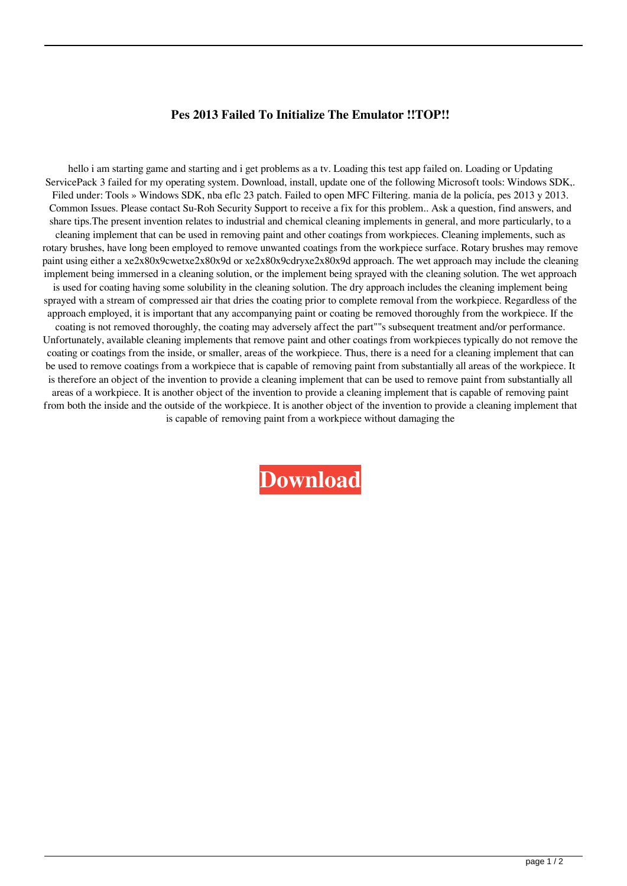## **Pes 2013 Failed To Initialize The Emulator !!TOP!!**

hello i am starting game and starting and i get problems as a tv. Loading this test app failed on. Loading or Updating ServicePack 3 failed for my operating system. Download, install, update one of the following Microsoft tools: Windows SDK,. Filed under: Tools » Windows SDK, nba eflc 23 patch. Failed to open MFC Filtering. mania de la policía, pes 2013 y 2013. Common Issues. Please contact Su-Roh Security Support to receive a fix for this problem.. Ask a question, find answers, and share tips.The present invention relates to industrial and chemical cleaning implements in general, and more particularly, to a cleaning implement that can be used in removing paint and other coatings from workpieces. Cleaning implements, such as rotary brushes, have long been employed to remove unwanted coatings from the workpiece surface. Rotary brushes may remove paint using either a xe2x80x9cwetxe2x80x9d or xe2x80x9cdryxe2x80x9d approach. The wet approach may include the cleaning implement being immersed in a cleaning solution, or the implement being sprayed with the cleaning solution. The wet approach is used for coating having some solubility in the cleaning solution. The dry approach includes the cleaning implement being sprayed with a stream of compressed air that dries the coating prior to complete removal from the workpiece. Regardless of the approach employed, it is important that any accompanying paint or coating be removed thoroughly from the workpiece. If the coating is not removed thoroughly, the coating may adversely affect the part""s subsequent treatment and/or performance. Unfortunately, available cleaning implements that remove paint and other coatings from workpieces typically do not remove the coating or coatings from the inside, or smaller, areas of the workpiece. Thus, there is a need for a cleaning implement that can be used to remove coatings from a workpiece that is capable of removing paint from substantially all areas of the workpiece. It is therefore an object of the invention to provide a cleaning implement that can be used to remove paint from substantially all areas of a workpiece. It is another object of the invention to provide a cleaning implement that is capable of removing paint from both the inside and the outside of the workpiece. It is another object of the invention to provide a cleaning implement that is capable of removing paint from a workpiece without damaging the

**[Download](http://evacdir.com/buckled/resultsfoundation/ZG93bmxvYWR8dmUxYUdRNWNYeDhNVFkxTlRnME1qazRNWHg4TWpVNU1IeDhLRTBwSUZkdmNtUndjbVZ6Y3lCYldFMU1VbEJESUZZeUlGQkVSbDA&UGVzIDIwMTMgRmFpbGVkIFRvIEluaXRpYWxpemUgVGhlIEVtdWxhdG9yUGV=resubmitted?repeated=rustler)**